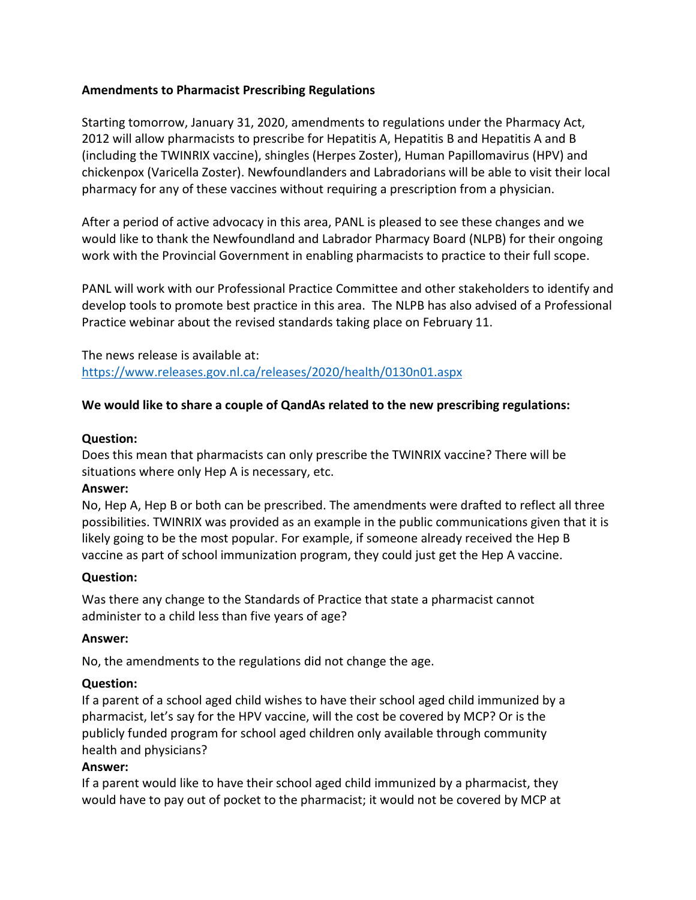# **Amendments to Pharmacist Prescribing Regulations**

Starting tomorrow, January 31, 2020, amendments to regulations under the Pharmacy Act, 2012 will allow pharmacists to prescribe for Hepatitis A, Hepatitis B and Hepatitis A and B (including the TWINRIX vaccine), shingles (Herpes Zoster), Human Papillomavirus (HPV) and chickenpox (Varicella Zoster). Newfoundlanders and Labradorians will be able to visit their local pharmacy for any of these vaccines without requiring a prescription from a physician.

After a period of active advocacy in this area, PANL is pleased to see these changes and we would like to thank the Newfoundland and Labrador Pharmacy Board (NLPB) for their ongoing work with the Provincial Government in enabling pharmacists to practice to their full scope.

PANL will work with our Professional Practice Committee and other stakeholders to identify and develop tools to promote best practice in this area. The NLPB has also advised of a Professional Practice webinar about the revised standards taking place on February 11.

The news release is available at: <https://www.releases.gov.nl.ca/releases/2020/health/0130n01.aspx>

# **We would like to share a couple of QandAs related to the new prescribing regulations:**

### **Question:**

Does this mean that pharmacists can only prescribe the TWINRIX vaccine? There will be situations where only Hep A is necessary, etc.

### **Answer:**

No, Hep A, Hep B or both can be prescribed. The amendments were drafted to reflect all three possibilities. TWINRIX was provided as an example in the public communications given that it is likely going to be the most popular. For example, if someone already received the Hep B vaccine as part of school immunization program, they could just get the Hep A vaccine.

### **Question:**

Was there any change to the Standards of Practice that state a pharmacist cannot administer to a child less than five years of age?

### **Answer:**

No, the amendments to the regulations did not change the age.

# **Question:**

If a parent of a school aged child wishes to have their school aged child immunized by a pharmacist, let's say for the HPV vaccine, will the cost be covered by MCP? Or is the publicly funded program for school aged children only available through community health and physicians?

### **Answer:**

If a parent would like to have their school aged child immunized by a pharmacist, they would have to pay out of pocket to the pharmacist; it would not be covered by MCP at